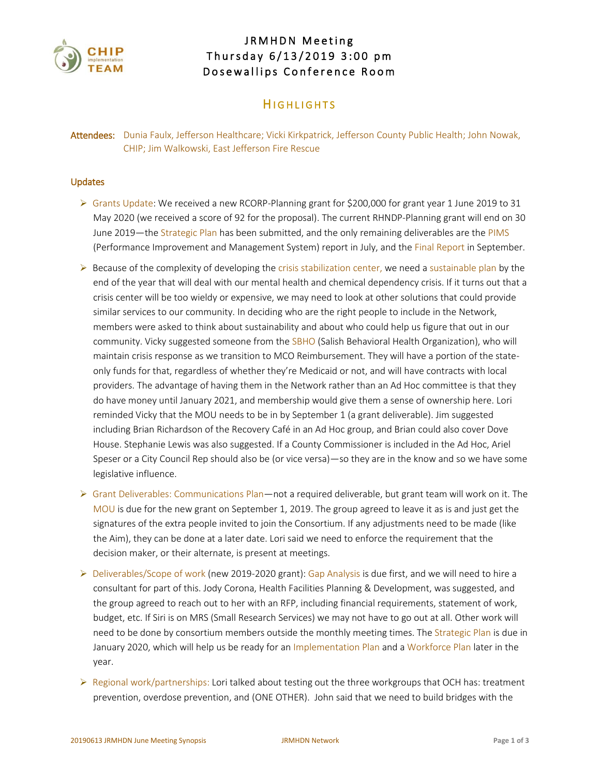

# JRMHDN Meeting Thursday 6/13/2019 3:00 pm Dosewallips Conference Room

## **HIGHLIGHTS**

Attendees: Dunia Faulx, Jefferson Healthcare; Vicki Kirkpatrick, Jefferson County Public Health; John Nowak, CHIP; Jim Walkowski, East Jefferson Fire Rescue

#### Updates

- ➢ Grants Update: We received a new RCORP-Planning grant for \$200,000 for grant year 1 June 2019 to 31 May 2020 (we received a score of 92 for the proposal). The current RHNDP-Planning grant will end on 30 June 2019—the Strategic Plan has been submitted, and the only remaining deliverables are the PIMS (Performance Improvement and Management System) report in July, and the Final Report in September.
- $\triangleright$  Because of the complexity of developing the crisis stabilization center, we need a sustainable plan by the end of the year that will deal with our mental health and chemical dependency crisis. If it turns out that a crisis center will be too wieldy or expensive, we may need to look at other solutions that could provide similar services to our community. In deciding who are the right people to include in the Network, members were asked to think about sustainability and about who could help us figure that out in our community. Vicky suggested someone from the SBHO (Salish Behavioral Health Organization), who will maintain crisis response as we transition to MCO Reimbursement. They will have a portion of the stateonly funds for that, regardless of whether they're Medicaid or not, and will have contracts with local providers. The advantage of having them in the Network rather than an Ad Hoc committee is that they do have money until January 2021, and membership would give them a sense of ownership here. Lori reminded Vicky that the MOU needs to be in by September 1 (a grant deliverable). Jim suggested including Brian Richardson of the Recovery Café in an Ad Hoc group, and Brian could also cover Dove House. Stephanie Lewis was also suggested. If a County Commissioner is included in the Ad Hoc, Ariel Speser or a City Council Rep should also be (or vice versa)—so they are in the know and so we have some legislative influence.
- $\triangleright$  Grant Deliverables: Communications Plan—not a required deliverable, but grant team will work on it. The MOU is due for the new grant on September 1, 2019. The group agreed to leave it as is and just get the signatures of the extra people invited to join the Consortium. If any adjustments need to be made (like the Aim), they can be done at a later date. Lori said we need to enforce the requirement that the decision maker, or their alternate, is present at meetings.
- $\triangleright$  Deliverables/Scope of work (new 2019-2020 grant): Gap Analysis is due first, and we will need to hire a consultant for part of this. Jody Corona, Health Facilities Planning & Development, was suggested, and the group agreed to reach out to her with an RFP, including financial requirements, statement of work, budget, etc. If Siri is on MRS (Small Research Services) we may not have to go out at all. Other work will need to be done by consortium members outside the monthly meeting times. The Strategic Plan is due in January 2020, which will help us be ready for an Implementation Plan and a Workforce Plan later in the year.
- $\triangleright$  Regional work/partnerships: Lori talked about testing out the three workgroups that OCH has: treatment prevention, overdose prevention, and (ONE OTHER). John said that we need to build bridges with the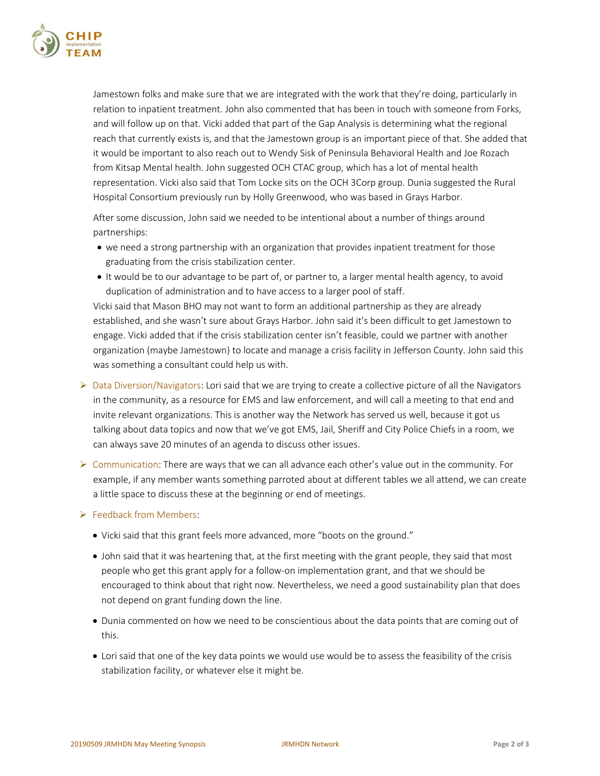

Jamestown folks and make sure that we are integrated with the work that they're doing, particularly in relation to inpatient treatment. John also commented that has been in touch with someone from Forks, and will follow up on that. Vicki added that part of the Gap Analysis is determining what the regional reach that currently exists is, and that the Jamestown group is an important piece of that. She added that it would be important to also reach out to Wendy Sisk of Peninsula Behavioral Health and Joe Rozach from Kitsap Mental health. John suggested OCH CTAC group, which has a lot of mental health representation. Vicki also said that Tom Locke sits on the OCH 3Corp group. Dunia suggested the Rural Hospital Consortium previously run by Holly Greenwood, who was based in Grays Harbor.

After some discussion, John said we needed to be intentional about a number of things around partnerships:

- we need a strong partnership with an organization that provides inpatient treatment for those graduating from the crisis stabilization center.
- It would be to our advantage to be part of, or partner to, a larger mental health agency, to avoid duplication of administration and to have access to a larger pool of staff.

Vicki said that Mason BHO may not want to form an additional partnership as they are already established, and she wasn't sure about Grays Harbor. John said it's been difficult to get Jamestown to engage. Vicki added that if the crisis stabilization center isn't feasible, could we partner with another organization (maybe Jamestown) to locate and manage a crisis facility in Jefferson County. John said this was something a consultant could help us with.

- ➢ Data Diversion/Navigators: Lori said that we are trying to create a collective picture of all the Navigators in the community, as a resource for EMS and law enforcement, and will call a meeting to that end and invite relevant organizations. This is another way the Network has served us well, because it got us talking about data topics and now that we've got EMS, Jail, Sheriff and City Police Chiefs in a room, we can always save 20 minutes of an agenda to discuss other issues.
- $\triangleright$  Communication: There are ways that we can all advance each other's value out in the community. For example, if any member wants something parroted about at different tables we all attend, we can create a little space to discuss these at the beginning or end of meetings.

#### ➢ Feedback from Members:

- Vicki said that this grant feels more advanced, more "boots on the ground."
- John said that it was heartening that, at the first meeting with the grant people, they said that most people who get this grant apply for a follow-on implementation grant, and that we should be encouraged to think about that right now. Nevertheless, we need a good sustainability plan that does not depend on grant funding down the line.
- Dunia commented on how we need to be conscientious about the data points that are coming out of this.
- Lori said that one of the key data points we would use would be to assess the feasibility of the crisis stabilization facility, or whatever else it might be.